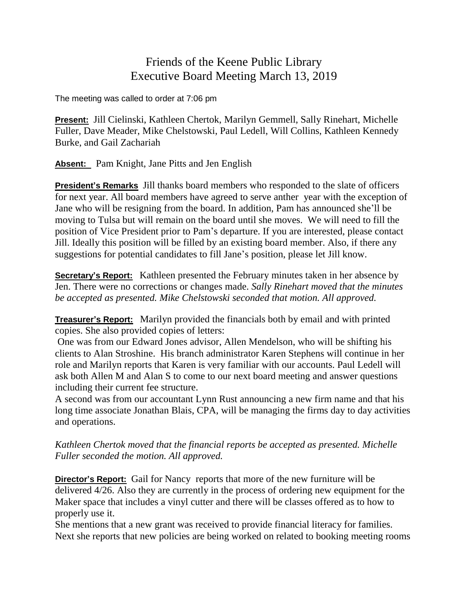## Friends of the Keene Public Library Executive Board Meeting March 13, 2019

The meeting was called to order at 7:06 pm

**Present:** Jill Cielinski, Kathleen Chertok, Marilyn Gemmell, Sally Rinehart, Michelle Fuller, Dave Meader, Mike Chelstowski, Paul Ledell, Will Collins, Kathleen Kennedy Burke, and Gail Zachariah

**Absent:** Pam Knight, Jane Pitts and Jen English

**President's Remarks** Jill thanks board members who responded to the slate of officers for next year. All board members have agreed to serve anther year with the exception of Jane who will be resigning from the board. In addition, Pam has announced she'll be moving to Tulsa but will remain on the board until she moves. We will need to fill the position of Vice President prior to Pam's departure. If you are interested, please contact Jill. Ideally this position will be filled by an existing board member. Also, if there any suggestions for potential candidates to fill Jane's position, please let Jill know.

**Secretary's Report:** Kathleen presented the February minutes taken in her absence by Jen. There were no corrections or changes made. *Sally Rinehart moved that the minutes be accepted as presented. Mike Chelstowski seconded that motion. All approved.*

**Treasurer's Report:** Marilyn provided the financials both by email and with printed copies. She also provided copies of letters:

One was from our Edward Jones advisor, Allen Mendelson, who will be shifting his clients to Alan Stroshine. His branch administrator Karen Stephens will continue in her role and Marilyn reports that Karen is very familiar with our accounts. Paul Ledell will ask both Allen M and Alan S to come to our next board meeting and answer questions including their current fee structure.

A second was from our accountant Lynn Rust announcing a new firm name and that his long time associate Jonathan Blais, CPA, will be managing the firms day to day activities and operations.

*Kathleen Chertok moved that the financial reports be accepted as presented. Michelle Fuller seconded the motion. All approved.*

**Director's Report:** Gail for Nancy reports that more of the new furniture will be delivered 4/26. Also they are currently in the process of ordering new equipment for the Maker space that includes a vinyl cutter and there will be classes offered as to how to properly use it.

She mentions that a new grant was received to provide financial literacy for families. Next she reports that new policies are being worked on related to booking meeting rooms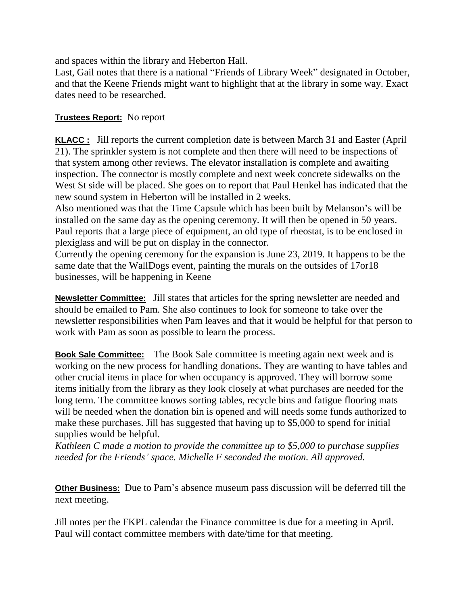and spaces within the library and Heberton Hall.

Last, Gail notes that there is a national "Friends of Library Week" designated in October, and that the Keene Friends might want to highlight that at the library in some way. Exact dates need to be researched.

## **Trustees Report:** No report

**KLACC :** Jill reports the current completion date is between March 31 and Easter (April 21). The sprinkler system is not complete and then there will need to be inspections of that system among other reviews. The elevator installation is complete and awaiting inspection. The connector is mostly complete and next week concrete sidewalks on the West St side will be placed. She goes on to report that Paul Henkel has indicated that the new sound system in Heberton will be installed in 2 weeks.

Also mentioned was that the Time Capsule which has been built by Melanson's will be installed on the same day as the opening ceremony. It will then be opened in 50 years. Paul reports that a large piece of equipment, an old type of rheostat, is to be enclosed in plexiglass and will be put on display in the connector.

Currently the opening ceremony for the expansion is June 23, 2019. It happens to be the same date that the WallDogs event, painting the murals on the outsides of 17or18 businesses, will be happening in Keene

**Newsletter Committee:** Jill states that articles for the spring newsletter are needed and should be emailed to Pam. She also continues to look for someone to take over the newsletter responsibilities when Pam leaves and that it would be helpful for that person to work with Pam as soon as possible to learn the process.

**Book Sale Committee:** The Book Sale committee is meeting again next week and is working on the new process for handling donations. They are wanting to have tables and other crucial items in place for when occupancy is approved. They will borrow some items initially from the library as they look closely at what purchases are needed for the long term. The committee knows sorting tables, recycle bins and fatigue flooring mats will be needed when the donation bin is opened and will needs some funds authorized to make these purchases. Jill has suggested that having up to \$5,000 to spend for initial supplies would be helpful.

*Kathleen C made a motion to provide the committee up to \$5,000 to purchase supplies needed for the Friends' space. Michelle F seconded the motion. All approved.*

**Other Business:** Due to Pam's absence museum pass discussion will be deferred till the next meeting.

Jill notes per the FKPL calendar the Finance committee is due for a meeting in April. Paul will contact committee members with date/time for that meeting.